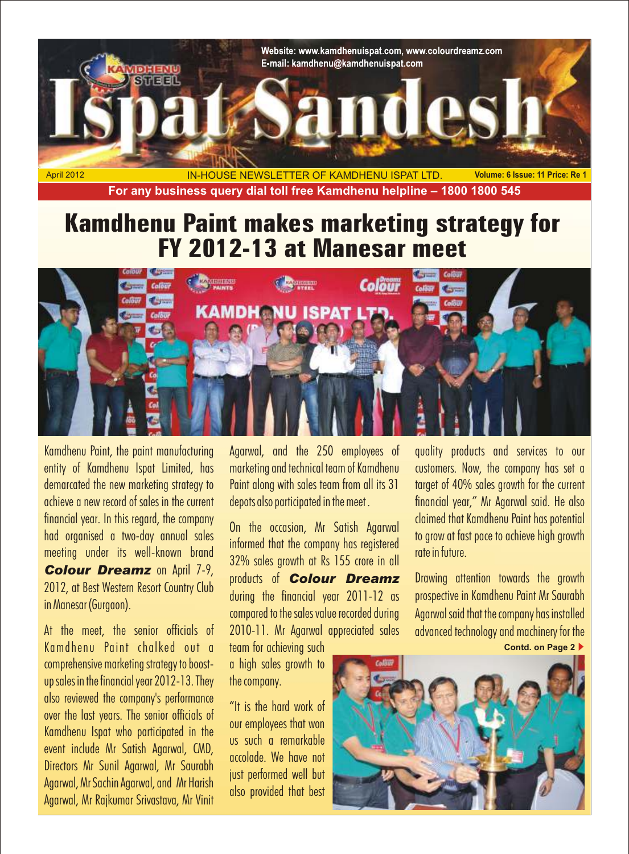

# Colöur

Kamdhenu Paint, the paint manufacturing Agarwal, and the 250 employees of quality products and services to our entity of Kamdhenu Ispat Limited, has marketing and technical team of Kamdhenu customers. Now, the company has set a demarcated the new marketing strategy to Paint along with sales team from all its 31 target of 40% sales growth for the current<br>Achieve a new record of sales in the current denots also participated in the meet . Thinancial financial year. In this regard, the company<br>had organised a two-day annual sales<br>meeting under its well-known brand and apply and an informed that the company has registered<br>meeting under its well-known brand apply and app

Kamdhenu Paint chalked out a team for achieving such comprehensive marketing strategy to boost- a high sales growth to up sales in the financial year 2012-13. They the company. also reviewed the company's performance "It is the hard work of over the last years. The senior officials of over the last years. The senior bincials of the our employees that won<br>Kamdhenu Ispat who participated in the the such a remarkable event include Mr Satish Agarwal, CMD, accolade. We have not<br>Directors Mr Sunil Agarwal, Mr Saurabh accolade. We have not<br>Agarwal, Mr Sachin Agarwal, and Mr Harish iust performed well but<br>Agarwal, Mr Rajkumar Srivastava, Mr

meeting under its well-known brand<br> **Colour Dreamz** on April 7-9,<br>
2012, at Best Western Resort Country Club and products of Colour Dreamz Drawing attention towards the growth<br>
2012, at Best Western Resort Country Club dur At the meet, the senior officials of 2010-11. Mr Agarwal appreciated sales advanced technology and machinery for the

depots also participated in the meet . Financial year," Mr Agarwal said. He also

**Contd. on Page 2**

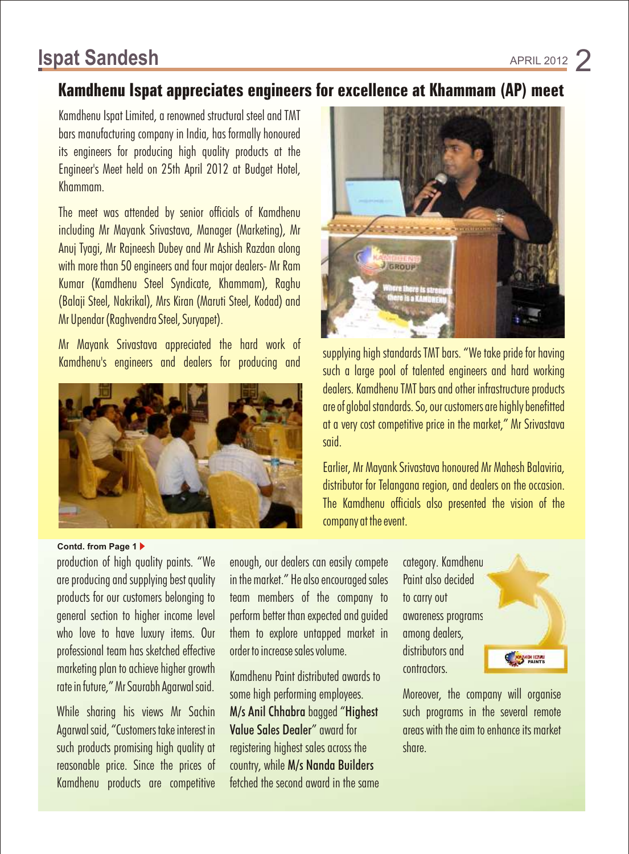## **Ispat Sandesh APRIL 2012**

### **Kamdhenu Ispat appreciates engineers for excellence at Khammam (AP) meet**

Kamdhenu Ispat Limited, a renowned structural steel and TMT bars manufacturing company in India, has formally honoured its engineers for producing high quality products at the Engineer's Meet held on 25th April 2012 at Budget Hotel, Khammam.

The meet was attended by senior officials of Kamdhenu including Mr Mayank Srivastava, Manager (Marketing), Mr Anuj Tyagi, Mr Rajneesh Dubey and Mr Ashish Razdan along with more than 50 engineers and four major dealers- Mr Ram Kumar (Kamdhenu Steel Syndicate, Khammam), Raghu (Balaji Steel, Nakrikal), Mrs Kiran (Maruti Steel, Kodad) and Mr Upendar (Raghvendra Steel, Suryapet).

Mr Mayank Srivastava appreciated the hard work of<br>Kamdhenu's engineers and dealers for producing and such a large pool of talented engineers and hard working



### **Contd. from Page 1**

production of high quality paints. "We enough, our dealers can easily compete category. Kamdhenu are producing and supplying best quality in the market." He also encouraged sales Paint also decided products for our customers belonging to team members of the company to to carry out general section to higher income level perform better than expected and guided awareness programs who love to have luxury items. Our them to explore untapped market in among dealers, professional team has sketched effective order to increase sales volume. distributors and marketing plan to achieve higher growth Kamdhenu Paint distributed awards to contractors.<br>
rate in future," Mr Saurabh Agarwal said.

Agarwal said, "Customers take interest in Value Sales Dealer" award for areas with the aim to enhance its market such products promising high quality at registering highest sales across the share. reasonable price. Since the prices of country, while M/s Nanda Builders Kamdhenu products are competitive fetched the second award in the same

some high performing employees. Moreover, the company will organise



dealers. Kamdhenu TMT bars and other infrastructure products are of global standards. So, our customers are highly benefitted at a very cost competitive price in the market," Mr Srivastava said.

Earlier, Mr Mayank Srivastava honoured Mr Mahesh Balaviria, distributor for Telangana region, and dealers on the occasion. The Kamdhenu officials also presented the vision of the company at the event.



While sharing his views Mr Sachin M/s Anil Chhabra bagged "Highest such programs in the several remote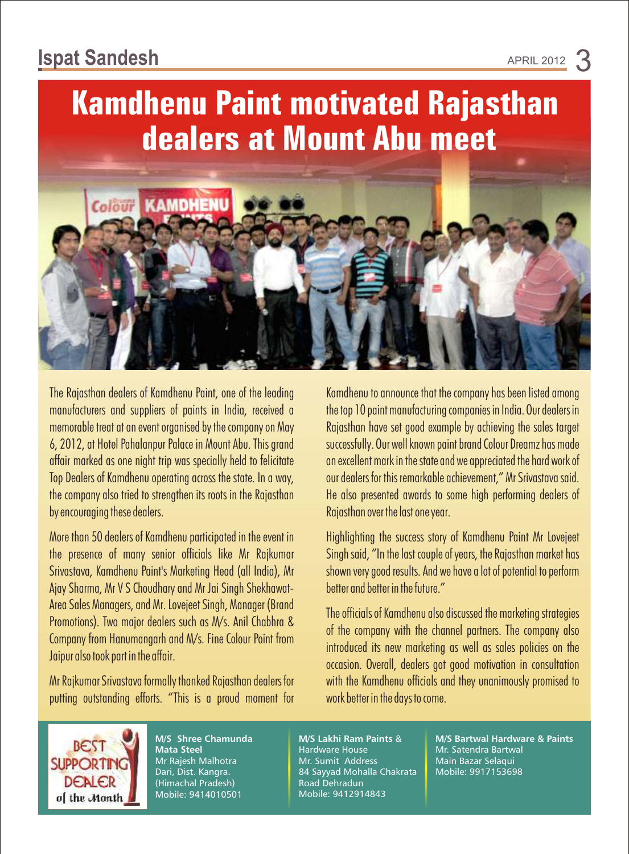**Kamdhenu Paint motivated Rajasthan dealers at Mount Abu meet**



by encouraging these dealers. The state of the last one year.

More than 50 dealers of Kamdhenu participated in the event in Highlighting the success story of Kamdhenu Paint Mr Lovejeet Ajay Sharma, Mr V S Choudhary and Mr Jai Singh Shekhawat- better and better in the future."

putting outstanding efforts. "This is a proud moment for work better in the days to come.

The Rajasthan dealers of Kamdhenu Paint, one of the leading Kamdhenu to announce that the company has been listed among manufacturers and suppliers of paints in India, received a the top 10 paint manufacturing companies in India. Our dealers in memorable treat at an event organised by the company on May Rajasthan have set good example by achieving the sales target 6, 2012, at Hotel Pahalanpur Palace in Mount Abu. This grand successfully. Our well known paint brand Colour Dreamz has made affair marked as one night trip was specially held to felicitate an excellent mark in the state and we appreciated the hard work of Top Dealers of Kamdhenu operating across the state. In a way, we also dealers for this remarkable achievement," Mr Srivastava said. the company also tried to strengthen its roots in the Rajasthan He also presented awards to some high performing dealers of

the presence of many senior officials like Mr Rajkumar Singh said, "In the last couple of years, the Rajasthan market has Srivastava, Kamdhenu Paint's Marketing Head (all India), Mr shown very good results. And we have a lot of potential to perform

Area Sales Managers, and Mr. Lovejeet Singh, Manager (Brand<br>Promotions). Two major dealers such as M/s. Anil Chabhra &<br>Company from Hanumangarh and M/s. Fine Colour Point from introduced its new marketing as well as sales Mr Rajkumar Srivastava formally thanked Rajasthan dealers for with the Kamdhenu officials and they unanimously promised to



**M/S Shree Chamunda Mata Steel** Mr Rajesh Malhotra Dari, Dist. Kangra. (Himachal Pradesh) Mobile: 9414010501

**M/S Lakhi Ram Paints** & Hardware House Mr. Sumit Address 84 Sayyad Mohalla Chakrata Road Dehradun Mobile: 9412914843

**M/S Bartwal Hardware & Paints** Mr. Satendra Bartwal Main Bazar Selaqui Mobile: 9917153698